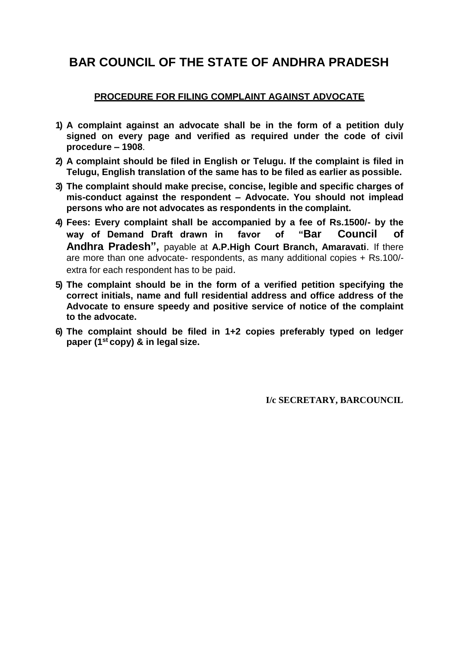# **BAR COUNCIL OF THE STATE OF ANDHRA PRADESH**

### **PROCEDURE FOR FILING COMPLAINT AGAINST ADVOCATE**

- **1) A complaint against an advocate shall be in the form of a petition duly signed on every page and verified as required under the code of civil procedure – 1908**.
- **2) A complaint should be filed in English or Telugu. If the complaint is filed in Telugu, English translation of the same has to be filed as earlier as possible.**
- **3) The complaint should make precise, concise, legible and specific charges of mis-conduct against the respondent – Advocate. You should not implead persons who are not advocates as respondents in the complaint.**
- **4) Fees: Every complaint shall be accompanied by a fee of Rs.1500/- by the way of Demand Draft drawn in favor of "Bar Council of Andhra Pradesh",** payable at **A.P.High Court Branch, Amaravati**. If there are more than one advocate- respondents, as many additional copies + Rs.100/ extra for each respondent has to be paid.
- **5) The complaint should be in the form of a verified petition specifying the correct initials, name and full residential address and office address of the Advocate to ensure speedy and positive service of notice of the complaint to the advocate.**
- **6) The complaint should be filed in 1+2 copies preferably typed on ledger paper (1st copy) & in legal size.**

**I/c SECRETARY, BARCOUNCIL**